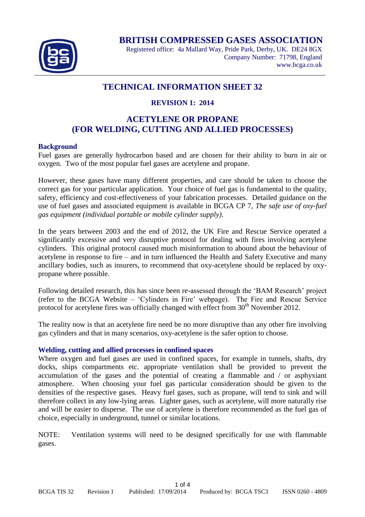

**BRITISH COMPRESSED GASES ASSOCIATION**

Registered office: 4a Mallard Way, Pride Park, Derby, UK. DE24 8GX Company Number: 71798, England www.bcga.co.uk

# **TECHNICAL INFORMATION SHEET 32**

### **REVISION 1: 2014**

# **ACETYLENE OR PROPANE (FOR WELDING, CUTTING AND ALLIED PROCESSES)**

### **Background**

Fuel gases are generally hydrocarbon based and are chosen for their ability to burn in air or oxygen. Two of the most popular fuel gases are acetylene and propane.

However, these gases have many different properties, and care should be taken to choose the correct gas for your particular application. Your choice of fuel gas is fundamental to the quality, safety, efficiency and cost-effectiveness of your fabrication processes. Detailed guidance on the use of fuel gases and associated equipment is available in BCGA CP 7, *The safe use of oxy-fuel gas equipment (individual portable or mobile cylinder supply)*.

In the years between 2003 and the end of 2012, the UK Fire and Rescue Service operated a significantly excessive and very disruptive protocol for dealing with fires involving acetylene cylinders. This original protocol caused much misinformation to abound about the behaviour of acetylene in response to fire – and in turn influenced the Health and Safety Executive and many ancillary bodies, such as insurers, to recommend that oxy-acetylene should be replaced by oxypropane where possible.

Following detailed research, this has since been re-assessed through the 'BAM Research' project (refer to the BCGA Website – 'Cylinders in Fire' webpage). The Fire and Rescue Service protocol for acetylene fires was officially changed with effect from 30<sup>th</sup> November 2012.

The reality now is that an acetylene fire need be no more disruptive than any other fire involving gas cylinders and that in many scenarios, oxy-acetylene is the safer option to choose.

#### **Welding, cutting and allied processes in confined spaces**

Where oxygen and fuel gases are used in confined spaces, for example in tunnels, shafts, dry docks, ships compartments etc. appropriate ventilation shall be provided to prevent the accumulation of the gases and the potential of creating a flammable and / or asphyxiant atmosphere. When choosing your fuel gas particular consideration should be given to the densities of the respective gases. Heavy fuel gases, such as propane, will tend to sink and will therefore collect in any low-lying areas. Lighter gases, such as acetylene, will more naturally rise and will be easier to disperse. The use of acetylene is therefore recommended as the fuel gas of choice, especially in underground, tunnel or similar locations.

NOTE: Ventilation systems will need to be designed specifically for use with flammable gases.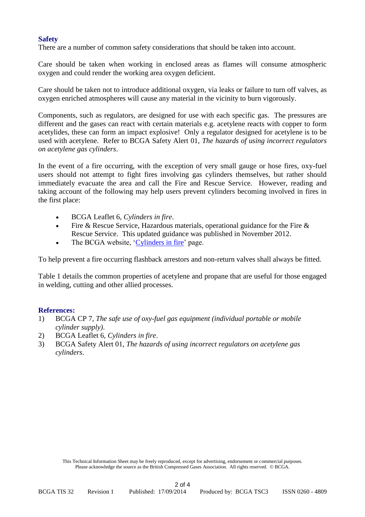### **Safety**

There are a number of common safety considerations that should be taken into account.

Care should be taken when working in enclosed areas as flames will consume atmospheric oxygen and could render the working area oxygen deficient.

Care should be taken not to introduce additional oxygen, via leaks or failure to turn off valves, as oxygen enriched atmospheres will cause any material in the vicinity to burn vigorously.

Components, such as regulators, are designed for use with each specific gas. The pressures are different and the gases can react with certain materials e.g. acetylene reacts with copper to form acetylides, these can form an impact explosive! Only a regulator designed for acetylene is to be used with acetylene. Refer to BCGA Safety Alert 01, *The hazards of using incorrect regulators on acetylene gas cylinders*.

In the event of a fire occurring, with the exception of very small gauge or hose fires, oxy-fuel users should not attempt to fight fires involving gas cylinders themselves, but rather should immediately evacuate the area and call the Fire and Rescue Service. However, reading and taking account of the following may help users prevent cylinders becoming involved in fires in the first place:

- BCGA Leaflet 6, *Cylinders in fire*.
- Fire & Rescue Service, Hazardous materials, operational guidance for the Fire & Rescue Service. This updated guidance was published in November 2012.
- The BCGA website, ['Cylinders in fire'](http://www.bcga.co.uk/preview/cif.php) page.

To help prevent a fire occurring flashback arrestors and non-return valves shall always be fitted.

Table 1 details the common properties of acetylene and propane that are useful for those engaged in welding, cutting and other allied processes.

#### **References:**

- 1) BCGA CP 7, *The safe use of oxy-fuel gas equipment (individual portable or mobile cylinder supply)*.
- 2) BCGA Leaflet 6, *Cylinders in fire*.
- 3) BCGA Safety Alert 01, *The hazards of using incorrect regulators on acetylene gas cylinders*.

This Technical Information Sheet may be freely reproduced, except for advertising, endorsement or commercial purposes. Please acknowledge the source as the British Compressed Gases Association. All rights reserved. © BCGA.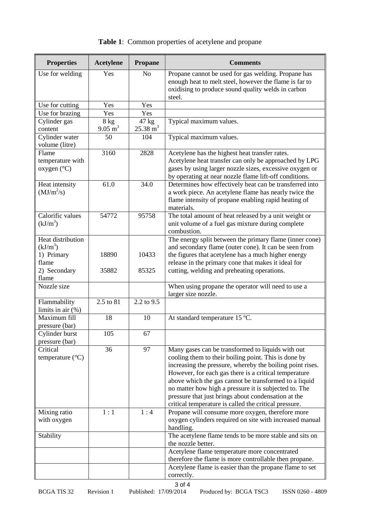| <b>Properties</b>                        | <b>Acetylene</b>   | <b>Propane</b>      | <b>Comments</b>                                                                                                                                                                        |
|------------------------------------------|--------------------|---------------------|----------------------------------------------------------------------------------------------------------------------------------------------------------------------------------------|
| Use for welding                          | Yes                | N <sub>o</sub>      | Propane cannot be used for gas welding. Propane has<br>enough heat to melt steel, however the flame is far to<br>oxidising to produce sound quality welds in carbon<br>steel.          |
| Use for cutting                          | Yes                | Yes                 |                                                                                                                                                                                        |
| Use for brazing                          | Yes                | Yes                 |                                                                                                                                                                                        |
| $\overline{C}$ ylinder gas               | 8 kg               | 47 kg               | Typical maximum values.                                                                                                                                                                |
| content                                  | $9.05 \text{ m}^3$ | $25.38 \text{ m}^3$ |                                                                                                                                                                                        |
| Cylinder water<br>volume (litre)         | 50                 | 104                 | Typical maximum values.                                                                                                                                                                |
| Flame                                    | 3160               | 2828                | Acetylene has the highest heat transfer rates.                                                                                                                                         |
| temperature with<br>oxygen $(^{\circ}C)$ |                    |                     | Acetylene heat transfer can only be approached by LPG<br>gases by using larger nozzle sizes, excessive oxygen or<br>by operating at near nozzle flame lift-off conditions.             |
| Heat intensity<br>$(MJ/m^2/s)$           | 61.0               | 34.0                | Determines how effectively heat can be transferred into<br>a work piece. An acetylene flame has nearly twice the<br>flame intensity of propane enabling rapid heating of<br>materials. |
| Calorific values<br>$(kJ/m^3)$           | 54772              | 95758               | The total amount of heat released by a unit weight or<br>unit volume of a fuel gas mixture during complete<br>combustion.                                                              |
| Heat distribution                        |                    |                     | The energy split between the primary flame (inner cone)                                                                                                                                |
| $(kJ/m^3)$                               |                    |                     | and secondary flame (outer cone). It can be seen from                                                                                                                                  |
| 1) Primary                               | 18890              | 10433               | the figures that acetylene has a much higher energy                                                                                                                                    |
| flame                                    |                    |                     | release in the primary cone that makes it ideal for                                                                                                                                    |
| 2) Secondary                             | 35882              | 85325               | cutting, welding and preheating operations.                                                                                                                                            |
| flame                                    |                    |                     |                                                                                                                                                                                        |
| Nozzle size                              |                    |                     | When using propane the operator will need to use a<br>larger size nozzle.                                                                                                              |
| Flammability<br>limits in air $(\%)$     | 2.5 to 81          | 2.2 to 9.5          |                                                                                                                                                                                        |
| Maximum fill                             | 18                 | 10                  | At standard temperature 15 °C.                                                                                                                                                         |
| pressure (bar)                           |                    |                     |                                                                                                                                                                                        |
| Cylinder burst                           | 105                | 67                  |                                                                                                                                                                                        |
| pressure (bar)                           |                    |                     |                                                                                                                                                                                        |
| Critical                                 | 36                 | 97                  | Many gases can be transformed to liquids with out                                                                                                                                      |
| temperature $(^{\circ}C)$                |                    |                     | cooling them to their boiling point. This is done by<br>increasing the pressure, whereby the boiling point rises.                                                                      |
|                                          |                    |                     | However, for each gas there is a critical temperature                                                                                                                                  |
|                                          |                    |                     | above which the gas cannot be transformed to a liquid                                                                                                                                  |
|                                          |                    |                     | no matter how high a pressure it is subjected to. The                                                                                                                                  |
|                                          |                    |                     | pressure that just brings about condensation at the                                                                                                                                    |
|                                          |                    |                     | critical temperature is called the critical pressure.                                                                                                                                  |
| Mixing ratio                             | 1:1                | 1:4                 | Propane will consume more oxygen, therefore more                                                                                                                                       |
| with oxygen                              |                    |                     | oxygen cylinders required on site with increased manual<br>handling.                                                                                                                   |
| Stability                                |                    |                     | The acetylene flame tends to be more stable and sits on<br>the nozzle better.                                                                                                          |
|                                          |                    |                     | Acetylene flame temperature more concentrated                                                                                                                                          |
|                                          |                    |                     | therefore the flame is more controllable then propane.                                                                                                                                 |
|                                          |                    |                     | Acetylene flame is easier than the propane flame to set                                                                                                                                |
|                                          |                    |                     | correctly.                                                                                                                                                                             |

# **Table 1**: Common properties of acetylene and propane